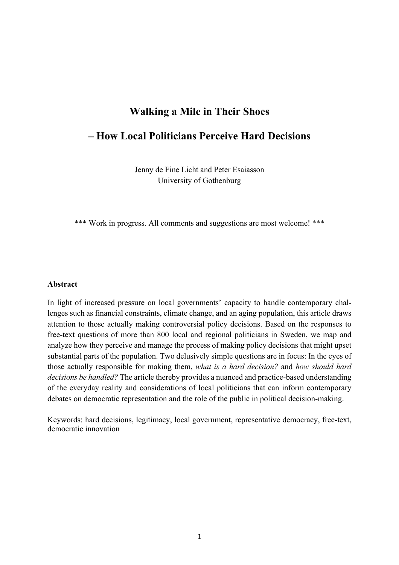# **Walking a Mile in Their Shoes**

## **– How Local Politicians Perceive Hard Decisions**

Jenny de Fine Licht and Peter Esaiasson University of Gothenburg

\*\*\* Work in progress. All comments and suggestions are most welcome! \*\*\*

#### **Abstract**

In light of increased pressure on local governments' capacity to handle contemporary challenges such as financial constraints, climate change, and an aging population, this article draws attention to those actually making controversial policy decisions. Based on the responses to free-text questions of more than 800 local and regional politicians in Sweden, we map and analyze how they perceive and manage the process of making policy decisions that might upset substantial parts of the population. Two delusively simple questions are in focus: In the eyes of those actually responsible for making them, *what is a hard decision?* and *how should hard decisions be handled?* The article thereby provides a nuanced and practice-based understanding of the everyday reality and considerations of local politicians that can inform contemporary debates on democratic representation and the role of the public in political decision-making.

Keywords: hard decisions, legitimacy, local government, representative democracy, free-text, democratic innovation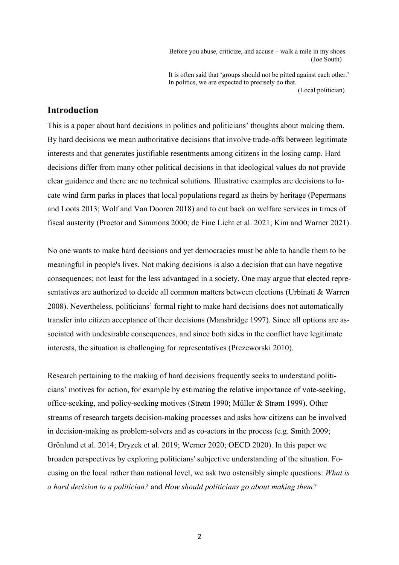Before you abuse, criticize, and accuse – walk a mile in my shoes (Joe South)

 It is often said that 'groups should not be pitted against each other.' In politics, we are expected to precisely do that. (Local politician)

## **Introduction**

This is a paper about hard decisions in politics and politicians' thoughts about making them. By hard decisions we mean authoritative decisions that involve trade-offs between legitimate interests and that generates justifiable resentments among citizens in the losing camp. Hard decisions differ from many other political decisions in that ideological values do not provide clear guidance and there are no technical solutions. Illustrative examples are decisions to locate wind farm parks in places that local populations regard as theirs by heritage (Pepermans and Loots 2013; Wolf and Van Dooren 2018) and to cut back on welfare services in times of fiscal austerity (Proctor and Simmons 2000; de Fine Licht et al. 2021; Kim and Warner 2021).

No one wants to make hard decisions and yet democracies must be able to handle them to be meaningful in people's lives. Not making decisions is also a decision that can have negative consequences; not least for the less advantaged in a society. One may argue that elected representatives are authorized to decide all common matters between elections (Urbinati & Warren 2008). Nevertheless, politicians' formal right to make hard decisions does not automatically transfer into citizen acceptance of their decisions (Mansbridge 1997). Since all options are associated with undesirable consequences, and since both sides in the conflict have legitimate interests, the situation is challenging for representatives (Prezeworski 2010).

Research pertaining to the making of hard decisions frequently seeks to understand politicians' motives for action, for example by estimating the relative importance of vote-seeking, office-seeking, and policy-seeking motives (Strøm 1990; Müller & Strøm 1999). Other streams of research targets decision-making processes and asks how citizens can be involved in decision-making as problem-solvers and as co-actors in the process (e.g. Smith 2009; Grönlund et al. 2014; Dryzek et al. 2019; Werner 2020; OECD 2020). In this paper we broaden perspectives by exploring politicians' subjective understanding of the situation. Focusing on the local rather than national level, we ask two ostensibly simple questions: *What is a hard decision to a politician?* and *How should politicians go about making them?*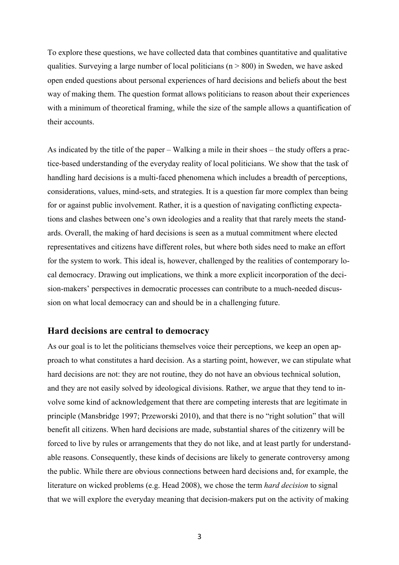To explore these questions, we have collected data that combines quantitative and qualitative qualities. Surveying a large number of local politicians ( $n > 800$ ) in Sweden, we have asked open ended questions about personal experiences of hard decisions and beliefs about the best way of making them. The question format allows politicians to reason about their experiences with a minimum of theoretical framing, while the size of the sample allows a quantification of their accounts.

As indicated by the title of the paper – Walking a mile in their shoes – the study offers a practice-based understanding of the everyday reality of local politicians. We show that the task of handling hard decisions is a multi-faced phenomena which includes a breadth of perceptions, considerations, values, mind-sets, and strategies. It is a question far more complex than being for or against public involvement. Rather, it is a question of navigating conflicting expectations and clashes between one's own ideologies and a reality that that rarely meets the standards. Overall, the making of hard decisions is seen as a mutual commitment where elected representatives and citizens have different roles, but where both sides need to make an effort for the system to work. This ideal is, however, challenged by the realities of contemporary local democracy. Drawing out implications, we think a more explicit incorporation of the decision-makers' perspectives in democratic processes can contribute to a much-needed discussion on what local democracy can and should be in a challenging future.

### **Hard decisions are central to democracy**

As our goal is to let the politicians themselves voice their perceptions, we keep an open approach to what constitutes a hard decision. As a starting point, however, we can stipulate what hard decisions are not: they are not routine, they do not have an obvious technical solution, and they are not easily solved by ideological divisions. Rather, we argue that they tend to involve some kind of acknowledgement that there are competing interests that are legitimate in principle (Mansbridge 1997; Przeworski 2010), and that there is no "right solution" that will benefit all citizens. When hard decisions are made, substantial shares of the citizenry will be forced to live by rules or arrangements that they do not like, and at least partly for understandable reasons. Consequently, these kinds of decisions are likely to generate controversy among the public. While there are obvious connections between hard decisions and, for example, the literature on wicked problems (e.g. Head 2008), we chose the term *hard decision* to signal that we will explore the everyday meaning that decision-makers put on the activity of making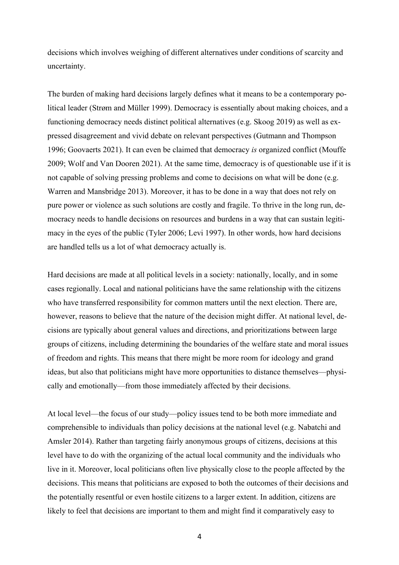decisions which involves weighing of different alternatives under conditions of scarcity and uncertainty.

The burden of making hard decisions largely defines what it means to be a contemporary political leader (Strøm and Müller 1999). Democracy is essentially about making choices, and a functioning democracy needs distinct political alternatives (e.g. Skoog 2019) as well as expressed disagreement and vivid debate on relevant perspectives (Gutmann and Thompson 1996; Goovaerts 2021). It can even be claimed that democracy *is* organized conflict (Mouffe 2009; Wolf and Van Dooren 2021). At the same time, democracy is of questionable use if it is not capable of solving pressing problems and come to decisions on what will be done (e.g. Warren and Mansbridge 2013). Moreover, it has to be done in a way that does not rely on pure power or violence as such solutions are costly and fragile. To thrive in the long run, democracy needs to handle decisions on resources and burdens in a way that can sustain legitimacy in the eyes of the public (Tyler 2006; Levi 1997). In other words, how hard decisions are handled tells us a lot of what democracy actually is.

Hard decisions are made at all political levels in a society: nationally, locally, and in some cases regionally. Local and national politicians have the same relationship with the citizens who have transferred responsibility for common matters until the next election. There are, however, reasons to believe that the nature of the decision might differ. At national level, decisions are typically about general values and directions, and prioritizations between large groups of citizens, including determining the boundaries of the welfare state and moral issues of freedom and rights. This means that there might be more room for ideology and grand ideas, but also that politicians might have more opportunities to distance themselves—physically and emotionally—from those immediately affected by their decisions.

At local level—the focus of our study—policy issues tend to be both more immediate and comprehensible to individuals than policy decisions at the national level (e.g. Nabatchi and Amsler 2014). Rather than targeting fairly anonymous groups of citizens, decisions at this level have to do with the organizing of the actual local community and the individuals who live in it. Moreover, local politicians often live physically close to the people affected by the decisions. This means that politicians are exposed to both the outcomes of their decisions and the potentially resentful or even hostile citizens to a larger extent. In addition, citizens are likely to feel that decisions are important to them and might find it comparatively easy to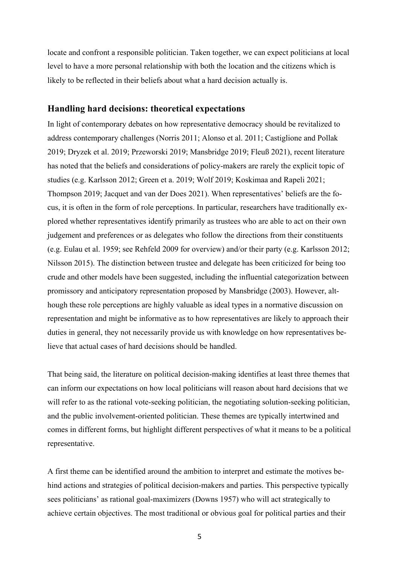locate and confront a responsible politician. Taken together, we can expect politicians at local level to have a more personal relationship with both the location and the citizens which is likely to be reflected in their beliefs about what a hard decision actually is.

### **Handling hard decisions: theoretical expectations**

In light of contemporary debates on how representative democracy should be revitalized to address contemporary challenges (Norris 2011; Alonso et al. 2011; Castiglione and Pollak 2019; Dryzek et al. 2019; Przeworski 2019; Mansbridge 2019; Fleuß 2021), recent literature has noted that the beliefs and considerations of policy-makers are rarely the explicit topic of studies (e.g. Karlsson 2012; Green et a. 2019; Wolf 2019; Koskimaa and Rapeli 2021; Thompson 2019; Jacquet and van der Does 2021). When representatives' beliefs are the focus, it is often in the form of role perceptions. In particular, researchers have traditionally explored whether representatives identify primarily as trustees who are able to act on their own judgement and preferences or as delegates who follow the directions from their constituents (e.g. Eulau et al. 1959; see Rehfeld 2009 for overview) and/or their party (e.g. Karlsson 2012; Nilsson 2015). The distinction between trustee and delegate has been criticized for being too crude and other models have been suggested, including the influential categorization between promissory and anticipatory representation proposed by Mansbridge (2003). However, although these role perceptions are highly valuable as ideal types in a normative discussion on representation and might be informative as to how representatives are likely to approach their duties in general, they not necessarily provide us with knowledge on how representatives believe that actual cases of hard decisions should be handled.

That being said, the literature on political decision-making identifies at least three themes that can inform our expectations on how local politicians will reason about hard decisions that we will refer to as the rational vote-seeking politician, the negotiating solution-seeking politician, and the public involvement-oriented politician. These themes are typically intertwined and comes in different forms, but highlight different perspectives of what it means to be a political representative.

A first theme can be identified around the ambition to interpret and estimate the motives behind actions and strategies of political decision-makers and parties. This perspective typically sees politicians' as rational goal-maximizers (Downs 1957) who will act strategically to achieve certain objectives. The most traditional or obvious goal for political parties and their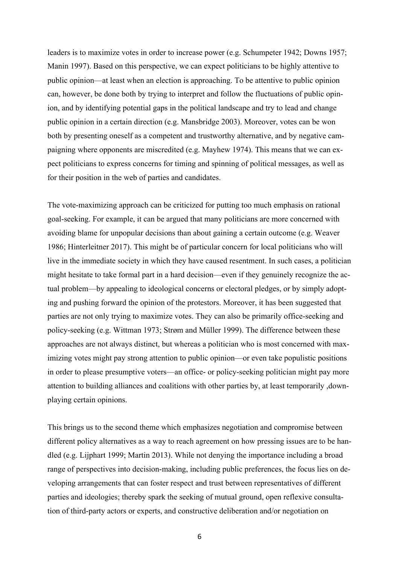leaders is to maximize votes in order to increase power (e.g. Schumpeter 1942; Downs 1957; Manin 1997). Based on this perspective, we can expect politicians to be highly attentive to public opinion—at least when an election is approaching. To be attentive to public opinion can, however, be done both by trying to interpret and follow the fluctuations of public opinion, and by identifying potential gaps in the political landscape and try to lead and change public opinion in a certain direction (e.g. Mansbridge 2003). Moreover, votes can be won both by presenting oneself as a competent and trustworthy alternative, and by negative campaigning where opponents are miscredited (e.g. Mayhew 1974). This means that we can expect politicians to express concerns for timing and spinning of political messages, as well as for their position in the web of parties and candidates.

The vote-maximizing approach can be criticized for putting too much emphasis on rational goal-seeking. For example, it can be argued that many politicians are more concerned with avoiding blame for unpopular decisions than about gaining a certain outcome (e.g. Weaver 1986; Hinterleitner 2017). This might be of particular concern for local politicians who will live in the immediate society in which they have caused resentment. In such cases, a politician might hesitate to take formal part in a hard decision—even if they genuinely recognize the actual problem—by appealing to ideological concerns or electoral pledges, or by simply adopting and pushing forward the opinion of the protestors. Moreover, it has been suggested that parties are not only trying to maximize votes. They can also be primarily office-seeking and policy-seeking (e.g. Wittman 1973; Strøm and Müller 1999). The difference between these approaches are not always distinct, but whereas a politician who is most concerned with maximizing votes might pay strong attention to public opinion—or even take populistic positions in order to please presumptive voters—an office- or policy-seeking politician might pay more attention to building alliances and coalitions with other parties by, at least temporarily ,downplaying certain opinions.

This brings us to the second theme which emphasizes negotiation and compromise between different policy alternatives as a way to reach agreement on how pressing issues are to be handled (e.g. Lijphart 1999; Martin 2013). While not denying the importance including a broad range of perspectives into decision-making, including public preferences, the focus lies on developing arrangements that can foster respect and trust between representatives of different parties and ideologies; thereby spark the seeking of mutual ground, open reflexive consultation of third-party actors or experts, and constructive deliberation and/or negotiation on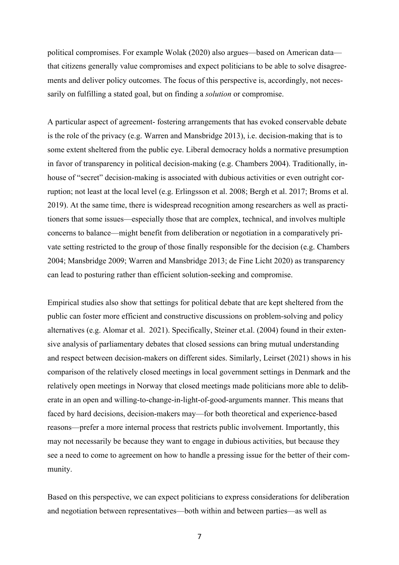political compromises. For example Wolak (2020) also argues—based on American data that citizens generally value compromises and expect politicians to be able to solve disagreements and deliver policy outcomes. The focus of this perspective is, accordingly, not necessarily on fulfilling a stated goal, but on finding a *solution* or compromise.

A particular aspect of agreement- fostering arrangements that has evoked conservable debate is the role of the privacy (e.g. Warren and Mansbridge 2013), i.e. decision-making that is to some extent sheltered from the public eye. Liberal democracy holds a normative presumption in favor of transparency in political decision-making (e.g. Chambers 2004). Traditionally, inhouse of "secret" decision-making is associated with dubious activities or even outright corruption; not least at the local level (e.g. Erlingsson et al. 2008; Bergh et al. 2017; Broms et al. 2019). At the same time, there is widespread recognition among researchers as well as practitioners that some issues—especially those that are complex, technical, and involves multiple concerns to balance—might benefit from deliberation or negotiation in a comparatively private setting restricted to the group of those finally responsible for the decision (e.g. Chambers 2004; Mansbridge 2009; Warren and Mansbridge 2013; de Fine Licht 2020) as transparency can lead to posturing rather than efficient solution-seeking and compromise.

Empirical studies also show that settings for political debate that are kept sheltered from the public can foster more efficient and constructive discussions on problem-solving and policy alternatives (e.g. Alomar et al. 2021). Specifically, Steiner et.al. (2004) found in their extensive analysis of parliamentary debates that closed sessions can bring mutual understanding and respect between decision-makers on different sides. Similarly, Leirset (2021) shows in his comparison of the relatively closed meetings in local government settings in Denmark and the relatively open meetings in Norway that closed meetings made politicians more able to deliberate in an open and willing-to-change-in-light-of-good-arguments manner. This means that faced by hard decisions, decision-makers may—for both theoretical and experience-based reasons—prefer a more internal process that restricts public involvement. Importantly, this may not necessarily be because they want to engage in dubious activities, but because they see a need to come to agreement on how to handle a pressing issue for the better of their community.

Based on this perspective, we can expect politicians to express considerations for deliberation and negotiation between representatives—both within and between parties—as well as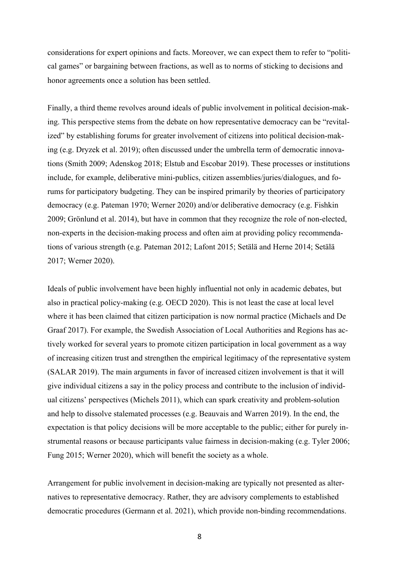considerations for expert opinions and facts. Moreover, we can expect them to refer to "political games" or bargaining between fractions, as well as to norms of sticking to decisions and honor agreements once a solution has been settled.

Finally, a third theme revolves around ideals of public involvement in political decision-making. This perspective stems from the debate on how representative democracy can be "revitalized" by establishing forums for greater involvement of citizens into political decision-making (e.g. Dryzek et al. 2019); often discussed under the umbrella term of democratic innovations (Smith 2009; Adenskog 2018; Elstub and Escobar 2019). These processes or institutions include, for example, deliberative mini-publics, citizen assemblies/juries/dialogues, and forums for participatory budgeting. They can be inspired primarily by theories of participatory democracy (e.g. Pateman 1970; Werner 2020) and/or deliberative democracy (e.g. Fishkin 2009; Grönlund et al. 2014), but have in common that they recognize the role of non-elected, non-experts in the decision-making process and often aim at providing policy recommendations of various strength (e.g. Pateman 2012; Lafont 2015; Setälä and Herne 2014; Setälä 2017; Werner 2020).

Ideals of public involvement have been highly influential not only in academic debates, but also in practical policy-making (e.g. OECD 2020). This is not least the case at local level where it has been claimed that citizen participation is now normal practice (Michaels and De Graaf 2017). For example, the Swedish Association of Local Authorities and Regions has actively worked for several years to promote citizen participation in local government as a way of increasing citizen trust and strengthen the empirical legitimacy of the representative system (SALAR 2019). The main arguments in favor of increased citizen involvement is that it will give individual citizens a say in the policy process and contribute to the inclusion of individual citizens' perspectives (Michels 2011), which can spark creativity and problem-solution and help to dissolve stalemated processes (e.g. Beauvais and Warren 2019). In the end, the expectation is that policy decisions will be more acceptable to the public; either for purely instrumental reasons or because participants value fairness in decision-making (e.g. Tyler 2006; Fung 2015; Werner 2020), which will benefit the society as a whole.

Arrangement for public involvement in decision-making are typically not presented as alternatives to representative democracy. Rather, they are advisory complements to established democratic procedures (Germann et al. 2021), which provide non-binding recommendations.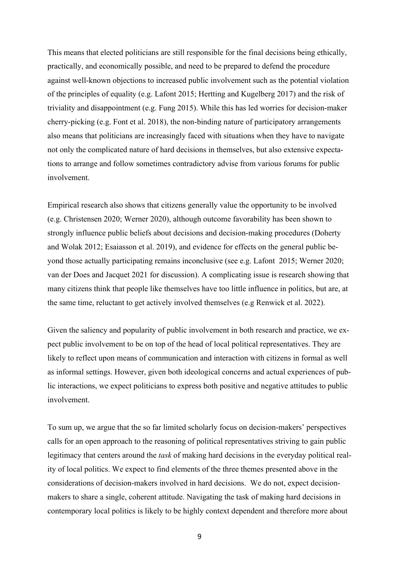This means that elected politicians are still responsible for the final decisions being ethically, practically, and economically possible, and need to be prepared to defend the procedure against well-known objections to increased public involvement such as the potential violation of the principles of equality (e.g. Lafont 2015; Hertting and Kugelberg 2017) and the risk of triviality and disappointment (e.g. Fung 2015). While this has led worries for decision-maker cherry-picking (e.g. Font et al. 2018), the non-binding nature of participatory arrangements also means that politicians are increasingly faced with situations when they have to navigate not only the complicated nature of hard decisions in themselves, but also extensive expectations to arrange and follow sometimes contradictory advise from various forums for public involvement.

Empirical research also shows that citizens generally value the opportunity to be involved (e.g. Christensen 2020; Werner 2020), although outcome favorability has been shown to strongly influence public beliefs about decisions and decision-making procedures (Doherty and Wolak 2012; Esaiasson et al. 2019), and evidence for effects on the general public beyond those actually participating remains inconclusive (see e.g. Lafont 2015; Werner 2020; van der Does and Jacquet 2021 for discussion). A complicating issue is research showing that many citizens think that people like themselves have too little influence in politics, but are, at the same time, reluctant to get actively involved themselves (e.g Renwick et al. 2022).

Given the saliency and popularity of public involvement in both research and practice, we expect public involvement to be on top of the head of local political representatives. They are likely to reflect upon means of communication and interaction with citizens in formal as well as informal settings. However, given both ideological concerns and actual experiences of public interactions, we expect politicians to express both positive and negative attitudes to public involvement.

To sum up, we argue that the so far limited scholarly focus on decision-makers' perspectives calls for an open approach to the reasoning of political representatives striving to gain public legitimacy that centers around the *task* of making hard decisions in the everyday political reality of local politics. We expect to find elements of the three themes presented above in the considerations of decision-makers involved in hard decisions. We do not, expect decisionmakers to share a single, coherent attitude. Navigating the task of making hard decisions in contemporary local politics is likely to be highly context dependent and therefore more about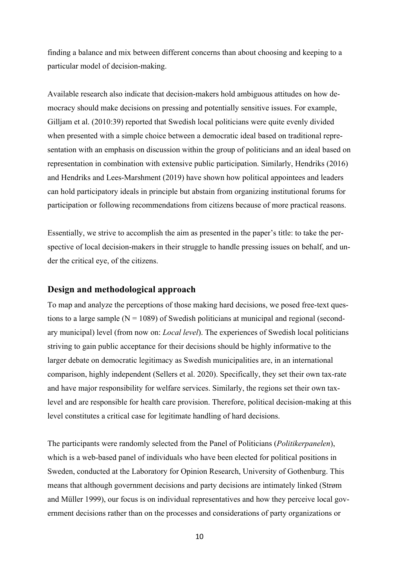finding a balance and mix between different concerns than about choosing and keeping to a particular model of decision-making.

Available research also indicate that decision-makers hold ambiguous attitudes on how democracy should make decisions on pressing and potentially sensitive issues. For example, Gilljam et al. (2010:39) reported that Swedish local politicians were quite evenly divided when presented with a simple choice between a democratic ideal based on traditional representation with an emphasis on discussion within the group of politicians and an ideal based on representation in combination with extensive public participation. Similarly, Hendriks (2016) and Hendriks and Lees-Marshment (2019) have shown how political appointees and leaders can hold participatory ideals in principle but abstain from organizing institutional forums for participation or following recommendations from citizens because of more practical reasons.

Essentially, we strive to accomplish the aim as presented in the paper's title: to take the perspective of local decision-makers in their struggle to handle pressing issues on behalf, and under the critical eye, of the citizens.

### **Design and methodological approach**

To map and analyze the perceptions of those making hard decisions, we posed free-text questions to a large sample  $(N = 1089)$  of Swedish politicians at municipal and regional (secondary municipal) level (from now on: *Local level*). The experiences of Swedish local politicians striving to gain public acceptance for their decisions should be highly informative to the larger debate on democratic legitimacy as Swedish municipalities are, in an international comparison, highly independent (Sellers et al. 2020). Specifically, they set their own tax-rate and have major responsibility for welfare services. Similarly, the regions set their own taxlevel and are responsible for health care provision. Therefore, political decision-making at this level constitutes a critical case for legitimate handling of hard decisions.

The participants were randomly selected from the Panel of Politicians (*Politikerpanelen*), which is a web-based panel of individuals who have been elected for political positions in Sweden, conducted at the Laboratory for Opinion Research, University of Gothenburg. This means that although government decisions and party decisions are intimately linked (Strøm and Müller 1999), our focus is on individual representatives and how they perceive local government decisions rather than on the processes and considerations of party organizations or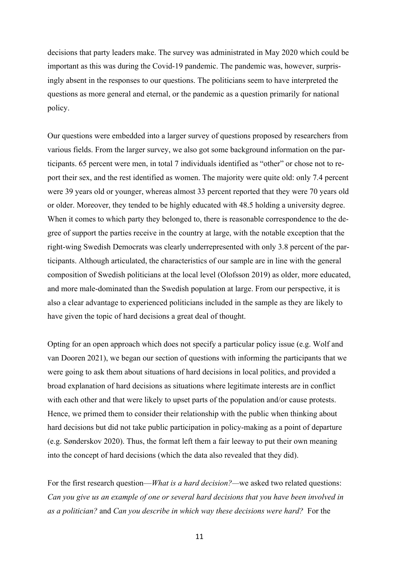decisions that party leaders make. The survey was administrated in May 2020 which could be important as this was during the Covid-19 pandemic. The pandemic was, however, surprisingly absent in the responses to our questions. The politicians seem to have interpreted the questions as more general and eternal, or the pandemic as a question primarily for national policy.

Our questions were embedded into a larger survey of questions proposed by researchers from various fields. From the larger survey, we also got some background information on the participants. 65 percent were men, in total 7 individuals identified as "other" or chose not to report their sex, and the rest identified as women. The majority were quite old: only 7.4 percent were 39 years old or younger, whereas almost 33 percent reported that they were 70 years old or older. Moreover, they tended to be highly educated with 48.5 holding a university degree. When it comes to which party they belonged to, there is reasonable correspondence to the degree of support the parties receive in the country at large, with the notable exception that the right-wing Swedish Democrats was clearly underrepresented with only 3.8 percent of the participants. Although articulated, the characteristics of our sample are in line with the general composition of Swedish politicians at the local level (Olofsson 2019) as older, more educated, and more male-dominated than the Swedish population at large. From our perspective, it is also a clear advantage to experienced politicians included in the sample as they are likely to have given the topic of hard decisions a great deal of thought.

Opting for an open approach which does not specify a particular policy issue (e.g. Wolf and van Dooren 2021), we began our section of questions with informing the participants that we were going to ask them about situations of hard decisions in local politics, and provided a broad explanation of hard decisions as situations where legitimate interests are in conflict with each other and that were likely to upset parts of the population and/or cause protests. Hence, we primed them to consider their relationship with the public when thinking about hard decisions but did not take public participation in policy-making as a point of departure (e.g. Sønderskov 2020). Thus, the format left them a fair leeway to put their own meaning into the concept of hard decisions (which the data also revealed that they did).

For the first research question—*What is a hard decision?—*we asked two related questions: *Can you give us an example of one or several hard decisions that you have been involved in as a politician?* and *Can you describe in which way these decisions were hard?* For the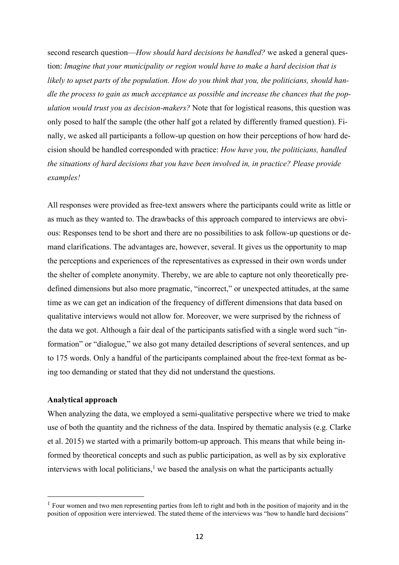second research question—*How should hard decisions be handled?* we asked a general question: *Imagine that your municipality or region would have to make a hard decision that is likely to upset parts of the population. How do you think that you, the politicians, should handle the process to gain as much acceptance as possible and increase the chances that the population would trust you as decision-makers?* Note that for logistical reasons, this question was only posed to half the sample (the other half got a related by differently framed question). Finally, we asked all participants a follow-up question on how their perceptions of how hard decision should be handled corresponded with practice: *How have you, the politicians, handled the situations of hard decisions that you have been involved in, in practice? Please provide examples!* 

All responses were provided as free-text answers where the participants could write as little or as much as they wanted to. The drawbacks of this approach compared to interviews are obvious: Responses tend to be short and there are no possibilities to ask follow-up questions or demand clarifications. The advantages are, however, several. It gives us the opportunity to map the perceptions and experiences of the representatives as expressed in their own words under the shelter of complete anonymity. Thereby, we are able to capture not only theoretically predefined dimensions but also more pragmatic, "incorrect," or unexpected attitudes, at the same time as we can get an indication of the frequency of different dimensions that data based on qualitative interviews would not allow for. Moreover, we were surprised by the richness of the data we got. Although a fair deal of the participants satisfied with a single word such "information" or "dialogue," we also got many detailed descriptions of several sentences, and up to 175 words. Only a handful of the participants complained about the free-text format as being too demanding or stated that they did not understand the questions.

#### **Analytical approach**

When analyzing the data, we employed a semi-qualitative perspective where we tried to make use of both the quantity and the richness of the data. Inspired by thematic analysis (e.g. Clarke et al. 2015) we started with a primarily bottom-up approach. This means that while being informed by theoretical concepts and such as public participation, as well as by six explorative interviews with local politicians, $<sup>1</sup>$  we based the analysis on what the participants actually</sup>

 $<sup>1</sup>$  Four women and two men representing parties from left to right and both in the position of majority and in the</sup> position of opposition were interviewed. The stated theme of the interviews was "how to handle hard decisions"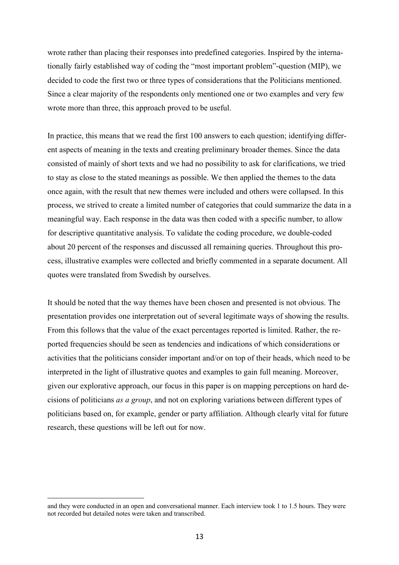wrote rather than placing their responses into predefined categories. Inspired by the internationally fairly established way of coding the "most important problem"-question (MIP), we decided to code the first two or three types of considerations that the Politicians mentioned. Since a clear majority of the respondents only mentioned one or two examples and very few wrote more than three, this approach proved to be useful.

In practice, this means that we read the first 100 answers to each question; identifying different aspects of meaning in the texts and creating preliminary broader themes. Since the data consisted of mainly of short texts and we had no possibility to ask for clarifications, we tried to stay as close to the stated meanings as possible. We then applied the themes to the data once again, with the result that new themes were included and others were collapsed. In this process, we strived to create a limited number of categories that could summarize the data in a meaningful way. Each response in the data was then coded with a specific number, to allow for descriptive quantitative analysis. To validate the coding procedure, we double-coded about 20 percent of the responses and discussed all remaining queries. Throughout this process, illustrative examples were collected and briefly commented in a separate document. All quotes were translated from Swedish by ourselves.

It should be noted that the way themes have been chosen and presented is not obvious. The presentation provides one interpretation out of several legitimate ways of showing the results. From this follows that the value of the exact percentages reported is limited. Rather, the reported frequencies should be seen as tendencies and indications of which considerations or activities that the politicians consider important and/or on top of their heads, which need to be interpreted in the light of illustrative quotes and examples to gain full meaning. Moreover, given our explorative approach, our focus in this paper is on mapping perceptions on hard decisions of politicians *as a group*, and not on exploring variations between different types of politicians based on, for example, gender or party affiliation. Although clearly vital for future research, these questions will be left out for now.

and they were conducted in an open and conversational manner. Each interview took 1 to 1.5 hours. They were not recorded but detailed notes were taken and transcribed.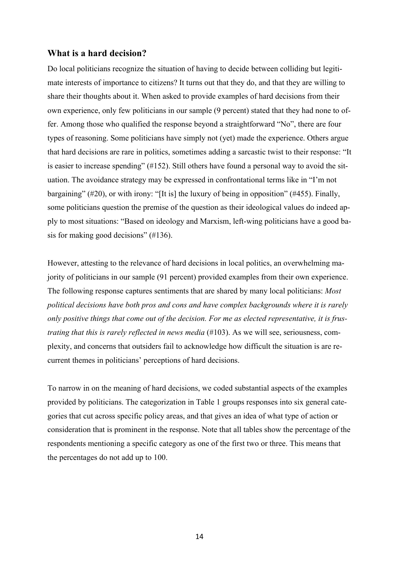### **What is a hard decision?**

Do local politicians recognize the situation of having to decide between colliding but legitimate interests of importance to citizens? It turns out that they do, and that they are willing to share their thoughts about it. When asked to provide examples of hard decisions from their own experience, only few politicians in our sample (9 percent) stated that they had none to offer. Among those who qualified the response beyond a straightforward "No", there are four types of reasoning. Some politicians have simply not (yet) made the experience. Others argue that hard decisions are rare in politics, sometimes adding a sarcastic twist to their response: "It is easier to increase spending" (#152). Still others have found a personal way to avoid the situation. The avoidance strategy may be expressed in confrontational terms like in "I'm not bargaining" (#20), or with irony: "[It is] the luxury of being in opposition" (#455). Finally, some politicians question the premise of the question as their ideological values do indeed apply to most situations: "Based on ideology and Marxism, left-wing politicians have a good basis for making good decisions" (#136).

However, attesting to the relevance of hard decisions in local politics, an overwhelming majority of politicians in our sample (91 percent) provided examples from their own experience. The following response captures sentiments that are shared by many local politicians: *Most political decisions have both pros and cons and have complex backgrounds where it is rarely only positive things that come out of the decision. For me as elected representative, it is frustrating that this is rarely reflected in news media* (#103). As we will see, seriousness, complexity, and concerns that outsiders fail to acknowledge how difficult the situation is are recurrent themes in politicians' perceptions of hard decisions.

To narrow in on the meaning of hard decisions, we coded substantial aspects of the examples provided by politicians. The categorization in Table 1 groups responses into six general categories that cut across specific policy areas, and that gives an idea of what type of action or consideration that is prominent in the response. Note that all tables show the percentage of the respondents mentioning a specific category as one of the first two or three. This means that the percentages do not add up to 100.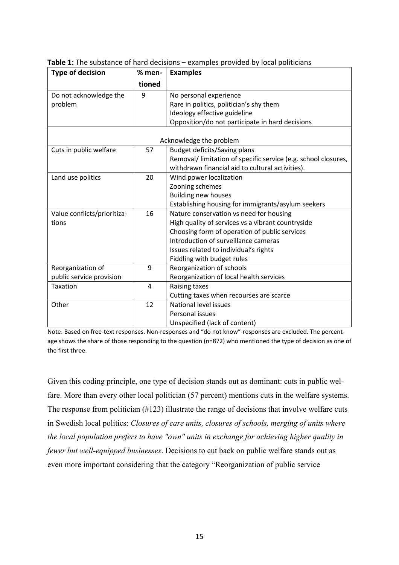| <b>Type of decision</b>     | % men- | <b>Examples</b>                                                |  |  |  |
|-----------------------------|--------|----------------------------------------------------------------|--|--|--|
|                             | tioned |                                                                |  |  |  |
| Do not acknowledge the      | 9      | No personal experience                                         |  |  |  |
| problem                     |        | Rare in politics, politician's shy them                        |  |  |  |
|                             |        | Ideology effective guideline                                   |  |  |  |
|                             |        | Opposition/do not participate in hard decisions                |  |  |  |
|                             |        |                                                                |  |  |  |
| Acknowledge the problem     |        |                                                                |  |  |  |
| Cuts in public welfare      | 57     | <b>Budget deficits/Saving plans</b>                            |  |  |  |
|                             |        | Removal/ limitation of specific service (e.g. school closures, |  |  |  |
|                             |        | withdrawn financial aid to cultural activities).               |  |  |  |
| Land use politics           | 20     | Wind power localization                                        |  |  |  |
|                             |        | Zooning schemes                                                |  |  |  |
|                             |        | <b>Building new houses</b>                                     |  |  |  |
|                             |        | Establishing housing for immigrants/asylum seekers             |  |  |  |
| Value conflicts/prioritiza- | 16     | Nature conservation vs need for housing                        |  |  |  |
| tions                       |        | High quality of services vs a vibrant countryside              |  |  |  |
|                             |        | Choosing form of operation of public services                  |  |  |  |
|                             |        | Introduction of surveillance cameras                           |  |  |  |
|                             |        | Issues related to individual's rights                          |  |  |  |
|                             |        | Fiddling with budget rules                                     |  |  |  |
| Reorganization of           | 9      | Reorganization of schools                                      |  |  |  |
| public service provision    |        | Reorganization of local health services                        |  |  |  |
| Taxation                    | 4      | Raising taxes                                                  |  |  |  |
|                             |        | Cutting taxes when recourses are scarce                        |  |  |  |
| Other                       | 12     | National level issues                                          |  |  |  |
|                             |        | Personal issues                                                |  |  |  |
|                             |        | Unspecified (lack of content)                                  |  |  |  |

**Table 1:** The substance of hard decisions – examples provided by local politicians

Note: Based on free-text responses. Non-responses and "do not know"-responses are excluded. The percentage shows the share of those responding to the question (n=872) who mentioned the type of decision as one of the first three.

Given this coding principle, one type of decision stands out as dominant: cuts in public welfare. More than every other local politician (57 percent) mentions cuts in the welfare systems. The response from politician (#123) illustrate the range of decisions that involve welfare cuts in Swedish local politics: *Closures of care units, closures of schools, merging of units where the local population prefers to have "own" units in exchange for achieving higher quality in fewer but well-equipped businesses*. Decisions to cut back on public welfare stands out as even more important considering that the category "Reorganization of public service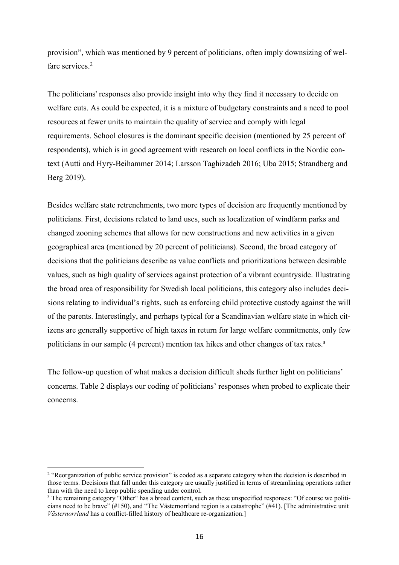provision", which was mentioned by 9 percent of politicians, often imply downsizing of welfare services.<sup>2</sup>

The politicians' responses also provide insight into why they find it necessary to decide on welfare cuts. As could be expected, it is a mixture of budgetary constraints and a need to pool resources at fewer units to maintain the quality of service and comply with legal requirements. School closures is the dominant specific decision (mentioned by 25 percent of respondents), which is in good agreement with research on local conflicts in the Nordic context (Autti and Hyry-Beihammer 2014; Larsson Taghizadeh 2016; Uba 2015; Strandberg and Berg 2019).

Besides welfare state retrenchments, two more types of decision are frequently mentioned by politicians. First, decisions related to land uses, such as localization of windfarm parks and changed zooning schemes that allows for new constructions and new activities in a given geographical area (mentioned by 20 percent of politicians). Second, the broad category of decisions that the politicians describe as value conflicts and prioritizations between desirable values, such as high quality of services against protection of a vibrant countryside. Illustrating the broad area of responsibility for Swedish local politicians, this category also includes decisions relating to individual's rights, such as enforcing child protective custody against the will of the parents. Interestingly, and perhaps typical for a Scandinavian welfare state in which citizens are generally supportive of high taxes in return for large welfare commitments, only few politicians in our sample (4 percent) mention tax hikes and other changes of tax rates. 3

The follow-up question of what makes a decision difficult sheds further light on politicians' concerns. Table 2 displays our coding of politicians' responses when probed to explicate their concerns.

<sup>&</sup>lt;sup>2</sup> "Reorganization of public service provision" is coded as a separate category when the decision is described in those terms. Decisions that fall under this category are usually justified in terms of streamlining operations rather than with the need to keep public spending under control.

<sup>&</sup>lt;sup>3</sup> The remaining category "Other" has a broad content, such as these unspecified responses: "Of course we politicians need to be brave" (#150), and "The Västernorrland region is a catastrophe" (#41). [The administrative unit *Västernorrland* has a conflict-filled history of healthcare re-organization.]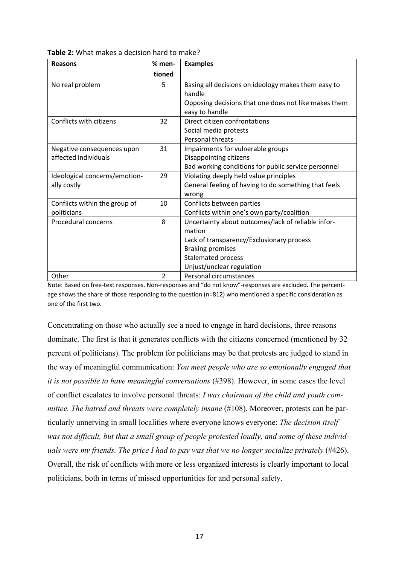| <b>Reasons</b>                | % men- | <b>Examples</b>                                      |
|-------------------------------|--------|------------------------------------------------------|
|                               | tioned |                                                      |
| No real problem               | 5      | Basing all decisions on ideology makes them easy to  |
|                               |        | handle                                               |
|                               |        | Opposing decisions that one does not like makes them |
|                               |        | easy to handle                                       |
| Conflicts with citizens       | 32     | Direct citizen confrontations                        |
|                               |        | Social media protests                                |
|                               |        | <b>Personal threats</b>                              |
| Negative consequences upon    | 31     | Impairments for vulnerable groups                    |
| affected individuals          |        | Disappointing citizens                               |
|                               |        | Bad working conditions for public service personnel  |
| Ideological concerns/emotion- | 29     | Violating deeply held value principles               |
| ally costly                   |        | General feeling of having to do something that feels |
|                               |        | wrong                                                |
| Conflicts within the group of | 10     | Conflicts between parties                            |
| politicians                   |        | Conflicts within one's own party/coalition           |
| Procedural concerns           | 8      | Uncertainty about outcomes/lack of reliable infor-   |
|                               |        | mation                                               |
|                               |        | Lack of transparency/Exclusionary process            |
|                               |        | <b>Braking promises</b>                              |
|                               |        | <b>Stalemated process</b>                            |
|                               |        | Unjust/unclear regulation                            |
| Other                         | 2      | Personal circumstances                               |

**Table 2:** What makes a decision hard to make?

Note: Based on free-text responses. Non-responses and "do not know"-responses are excluded. The percentage shows the share of those responding to the question (n=812) who mentioned a specific consideration as one of the first two.

Concentrating on those who actually see a need to engage in hard decisions, three reasons dominate. The first is that it generates conflicts with the citizens concerned (mentioned by 32 percent of politicians). The problem for politicians may be that protests are judged to stand in the way of meaningful communication: *You meet people who are so emotionally engaged that it is not possible to have meaningful conversations* (#398). However, in some cases the level of conflict escalates to involve personal threats: *I was chairman of the child and youth committee. The hatred and threats were completely insane* (#108). Moreover, protests can be particularly unnerving in small localities where everyone knows everyone: *The decision itself was not difficult, but that a small group of people protested loudly, and some of these individuals were my friends. The price I had to pay was that we no longer socialize privately* (#426). Overall, the risk of conflicts with more or less organized interests is clearly important to local politicians, both in terms of missed opportunities for and personal safety.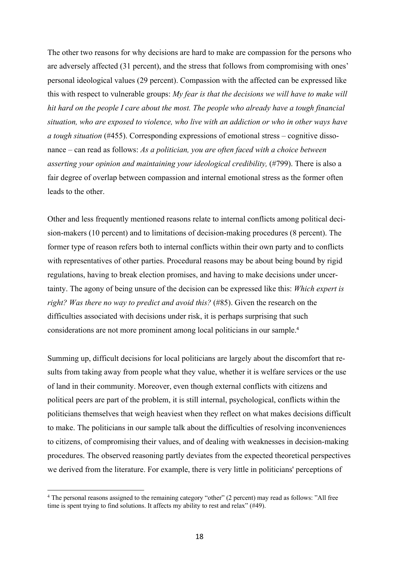The other two reasons for why decisions are hard to make are compassion for the persons who are adversely affected (31 percent), and the stress that follows from compromising with ones' personal ideological values (29 percent). Compassion with the affected can be expressed like this with respect to vulnerable groups: *My fear is that the decisions we will have to make will hit hard on the people I care about the most. The people who already have a tough financial situation, who are exposed to violence, who live with an addiction or who in other ways have a tough situation* (#455). Corresponding expressions of emotional stress – cognitive dissonance – can read as follows: *As a politician, you are often faced with a choice between asserting your opinion and maintaining your ideological credibility,* (#799). There is also a fair degree of overlap between compassion and internal emotional stress as the former often leads to the other.

Other and less frequently mentioned reasons relate to internal conflicts among political decision-makers (10 percent) and to limitations of decision-making procedures (8 percent). The former type of reason refers both to internal conflicts within their own party and to conflicts with representatives of other parties. Procedural reasons may be about being bound by rigid regulations, having to break election promises, and having to make decisions under uncertainty. The agony of being unsure of the decision can be expressed like this: *Which expert is right? Was there no way to predict and avoid this?* (#85). Given the research on the difficulties associated with decisions under risk, it is perhaps surprising that such considerations are not more prominent among local politicians in our sample.<sup>4</sup>

Summing up, difficult decisions for local politicians are largely about the discomfort that results from taking away from people what they value, whether it is welfare services or the use of land in their community. Moreover, even though external conflicts with citizens and political peers are part of the problem, it is still internal, psychological, conflicts within the politicians themselves that weigh heaviest when they reflect on what makes decisions difficult to make. The politicians in our sample talk about the difficulties of resolving inconveniences to citizens, of compromising their values, and of dealing with weaknesses in decision-making procedures. The observed reasoning partly deviates from the expected theoretical perspectives we derived from the literature. For example, there is very little in politicians' perceptions of

<sup>&</sup>lt;sup>4</sup> The personal reasons assigned to the remaining category "other" (2 percent) may read as follows: "All free time is spent trying to find solutions. It affects my ability to rest and relax" (#49).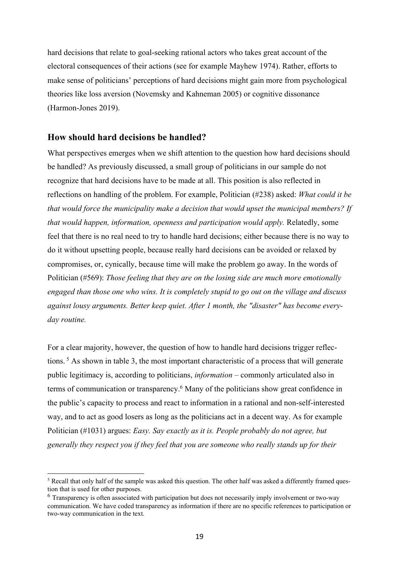hard decisions that relate to goal-seeking rational actors who takes great account of the electoral consequences of their actions (see for example Mayhew 1974). Rather, efforts to make sense of politicians' perceptions of hard decisions might gain more from psychological theories like loss aversion (Novemsky and Kahneman 2005) or cognitive dissonance (Harmon-Jones 2019).

## **How should hard decisions be handled?**

What perspectives emerges when we shift attention to the question how hard decisions should be handled? As previously discussed, a small group of politicians in our sample do not recognize that hard decisions have to be made at all. This position is also reflected in reflections on handling of the problem. For example, Politician (#238) asked: *What could it be that would force the municipality make a decision that would upset the municipal members? If that would happen, information, openness and participation would apply.* Relatedly, some feel that there is no real need to try to handle hard decisions; either because there is no way to do it without upsetting people, because really hard decisions can be avoided or relaxed by compromises, or, cynically, because time will make the problem go away. In the words of Politician (#569): *Those feeling that they are on the losing side are much more emotionally engaged than those one who wins. It is completely stupid to go out on the village and discuss against lousy arguments. Better keep quiet. After 1 month, the "disaster" has become everyday routine.*

For a clear majority, however, the question of how to handle hard decisions trigger reflections. <sup>5</sup> As shown in table 3, the most important characteristic of a process that will generate public legitimacy is, according to politicians, *information* – commonly articulated also in terms of communication or transparency. <sup>6</sup> Many of the politicians show great confidence in the public's capacity to process and react to information in a rational and non-self-interested way, and to act as good losers as long as the politicians act in a decent way. As for example Politician (#1031) argues: *Easy. Say exactly as it is. People probably do not agree, but generally they respect you if they feel that you are someone who really stands up for their* 

<sup>5</sup> Recall that only half of the sample was asked this question. The other half was asked a differently framed question that is used for other purposes.

<sup>6</sup> Transparency is often associated with participation but does not necessarily imply involvement or two-way communication. We have coded transparency as information if there are no specific references to participation or two-way communication in the text.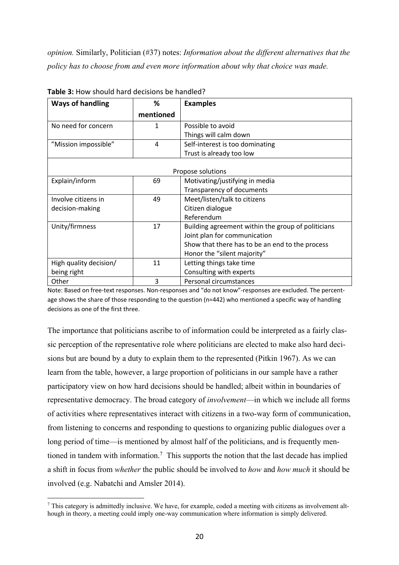*opinion.* Similarly, Politician (#37) notes: *Information about the different alternatives that the policy has to choose from and even more information about why that choice was made.* 

| <b>Ways of handling</b> | %         | <b>Examples</b>                                    |  |  |
|-------------------------|-----------|----------------------------------------------------|--|--|
|                         | mentioned |                                                    |  |  |
| No need for concern     | 1         | Possible to avoid                                  |  |  |
|                         |           | Things will calm down                              |  |  |
| "Mission impossible"    | 4         | Self-interest is too dominating                    |  |  |
|                         |           | Trust is already too low                           |  |  |
|                         |           |                                                    |  |  |
| Propose solutions       |           |                                                    |  |  |
| Explain/inform          | 69        | Motivating/justifying in media                     |  |  |
|                         |           | Transparency of documents                          |  |  |
| Involve citizens in     | 49        | Meet/listen/talk to citizens                       |  |  |
| decision-making         |           | Citizen dialogue                                   |  |  |
|                         |           | Referendum                                         |  |  |
| Unity/firmness          | 17        | Building agreement within the group of politicians |  |  |
|                         |           | Joint plan for communication                       |  |  |
|                         |           | Show that there has to be an end to the process    |  |  |
|                         |           | Honor the "silent majority"                        |  |  |
| High quality decision/  | 11        | Letting things take time                           |  |  |
| being right             |           | Consulting with experts                            |  |  |
| Other                   | 3         | Personal circumstances                             |  |  |

**Table 3:** How should hard decisions be handled?

Note: Based on free-text responses. Non-responses and "do not know"-responses are excluded. The percentage shows the share of those responding to the question (n=442) who mentioned a specific way of handling decisions as one of the first three.

The importance that politicians ascribe to of information could be interpreted as a fairly classic perception of the representative role where politicians are elected to make also hard decisions but are bound by a duty to explain them to the represented (Pitkin 1967). As we can learn from the table, however, a large proportion of politicians in our sample have a rather participatory view on how hard decisions should be handled; albeit within in boundaries of representative democracy. The broad category of *involvement*—in which we include all forms of activities where representatives interact with citizens in a two-way form of communication, from listening to concerns and responding to questions to organizing public dialogues over a long period of time—is mentioned by almost half of the politicians, and is frequently mentioned in tandem with information.<sup>7</sup> This supports the notion that the last decade has implied a shift in focus from *whether* the public should be involved to *how* and *how much* it should be involved (e.g. Nabatchi and Amsler 2014).

<sup>7</sup> This category is admittedly inclusive. We have, for example, coded a meeting with citizens as involvement although in theory, a meeting could imply one-way communication where information is simply delivered.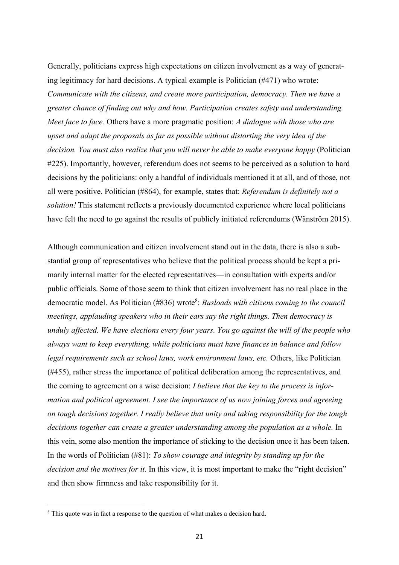Generally, politicians express high expectations on citizen involvement as a way of generating legitimacy for hard decisions. A typical example is Politician (#471) who wrote: *Communicate with the citizens, and create more participation, democracy. Then we have a greater chance of finding out why and how. Participation creates safety and understanding. Meet face to face.* Others have a more pragmatic position: *A dialogue with those who are upset and adapt the proposals as far as possible without distorting the very idea of the decision. You must also realize that you will never be able to make everyone happy* (Politician #225). Importantly, however, referendum does not seems to be perceived as a solution to hard decisions by the politicians: only a handful of individuals mentioned it at all, and of those, not all were positive. Politician (#864), for example, states that: *Referendum is definitely not a solution!* This statement reflects a previously documented experience where local politicians have felt the need to go against the results of publicly initiated referendums (Wänström 2015).

Although communication and citizen involvement stand out in the data, there is also a substantial group of representatives who believe that the political process should be kept a primarily internal matter for the elected representatives—in consultation with experts and/or public officials. Some of those seem to think that citizen involvement has no real place in the democratic model. As Politician (#836) wrote<sup>8</sup>: *Busloads with citizens coming to the council meetings, applauding speakers who in their ears say the right things. Then democracy is unduly affected. We have elections every four years. You go against the will of the people who always want to keep everything, while politicians must have finances in balance and follow legal requirements such as school laws, work environment laws, etc.* Others, like Politician (#455), rather stress the importance of political deliberation among the representatives, and the coming to agreement on a wise decision: *I believe that the key to the process is information and political agreement. I see the importance of us now joining forces and agreeing on tough decisions together. I really believe that unity and taking responsibility for the tough decisions together can create a greater understanding among the population as a whole.* In this vein, some also mention the importance of sticking to the decision once it has been taken. In the words of Politician (#81): *To show courage and integrity by standing up for the decision and the motives for it.* In this view, it is most important to make the "right decision" and then show firmness and take responsibility for it.

<sup>&</sup>lt;sup>8</sup> This quote was in fact a response to the question of what makes a decision hard.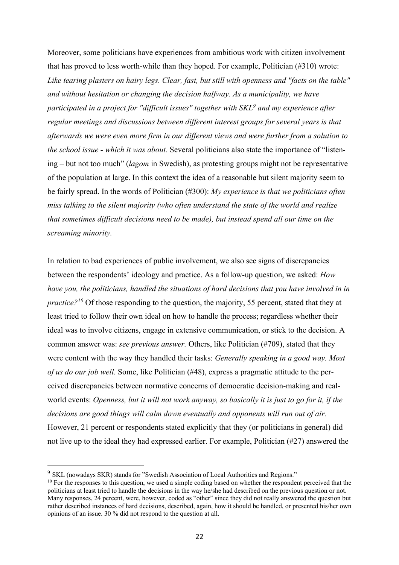Moreover, some politicians have experiences from ambitious work with citizen involvement that has proved to less worth-while than they hoped. For example, Politician (#310) wrote: *Like tearing plasters on hairy legs. Clear, fast, but still with openness and "facts on the table" and without hesitation or changing the decision halfway. As a municipality, we have participated in a project for "difficult issues" together with SKL9 and my experience after regular meetings and discussions between different interest groups for several years is that afterwards we were even more firm in our different views and were further from a solution to the school issue - which it was about.* Several politicians also state the importance of "listening – but not too much" (*lagom* in Swedish), as protesting groups might not be representative of the population at large. In this context the idea of a reasonable but silent majority seem to be fairly spread. In the words of Politician (#300): *My experience is that we politicians often miss talking to the silent majority (who often understand the state of the world and realize that sometimes difficult decisions need to be made), but instead spend all our time on the screaming minority.*

In relation to bad experiences of public involvement, we also see signs of discrepancies between the respondents' ideology and practice. As a follow-up question, we asked: *How have you, the politicians, handled the situations of hard decisions that you have involved in in practice*?<sup>10</sup> Of those responding to the question, the majority, 55 percent, stated that they at least tried to follow their own ideal on how to handle the process; regardless whether their ideal was to involve citizens, engage in extensive communication, or stick to the decision. A common answer was: *see previous answer.* Others, like Politician (#709), stated that they were content with the way they handled their tasks: *Generally speaking in a good way. Most of us do our job well.* Some, like Politician (#48), express a pragmatic attitude to the perceived discrepancies between normative concerns of democratic decision-making and realworld events: *Openness, but it will not work anyway, so basically it is just to go for it, if the decisions are good things will calm down eventually and opponents will run out of air.*  However, 21 percent or respondents stated explicitly that they (or politicians in general) did not live up to the ideal they had expressed earlier. For example, Politician (#27) answered the

<sup>9</sup> SKL (nowadays SKR) stands for "Swedish Association of Local Authorities and Regions."

 $10$  For the responses to this question, we used a simple coding based on whether the respondent perceived that the politicians at least tried to handle the decisions in the way he/she had described on the previous question or not. Many responses, 24 percent, were, however, coded as "other" since they did not really answered the question but rather described instances of hard decisions, described, again, how it should be handled, or presented his/her own opinions of an issue. 30 % did not respond to the question at all.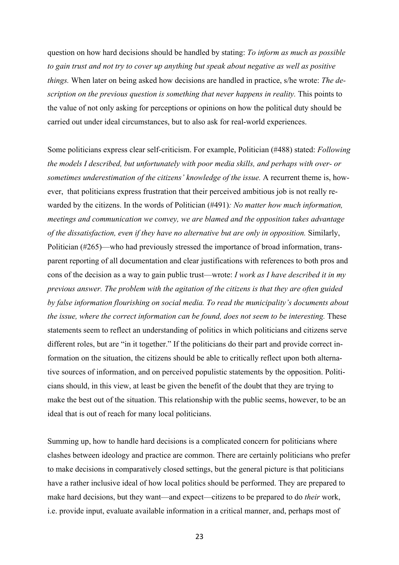question on how hard decisions should be handled by stating: *To inform as much as possible to gain trust and not try to cover up anything but speak about negative as well as positive things.* When later on being asked how decisions are handled in practice, s/he wrote: *The description on the previous question is something that never happens in reality.* This points to the value of not only asking for perceptions or opinions on how the political duty should be carried out under ideal circumstances, but to also ask for real-world experiences.

Some politicians express clear self-criticism. For example, Politician (#488) stated: *Following the models I described, but unfortunately with poor media skills, and perhaps with over- or sometimes underestimation of the citizens' knowledge of the issue.* A recurrent theme is, however, that politicians express frustration that their perceived ambitious job is not really rewarded by the citizens. In the words of Politician (#491)*: No matter how much information, meetings and communication we convey, we are blamed and the opposition takes advantage of the dissatisfaction, even if they have no alternative but are only in opposition.* Similarly, Politician (#265)—who had previously stressed the importance of broad information, transparent reporting of all documentation and clear justifications with references to both pros and cons of the decision as a way to gain public trust—wrote: *I work as I have described it in my previous answer. The problem with the agitation of the citizens is that they are often guided by false information flourishing on social media. To read the municipality's documents about the issue, where the correct information can be found, does not seem to be interesting.* These statements seem to reflect an understanding of politics in which politicians and citizens serve different roles, but are "in it together." If the politicians do their part and provide correct information on the situation, the citizens should be able to critically reflect upon both alternative sources of information, and on perceived populistic statements by the opposition. Politicians should, in this view, at least be given the benefit of the doubt that they are trying to make the best out of the situation. This relationship with the public seems, however, to be an ideal that is out of reach for many local politicians.

Summing up, how to handle hard decisions is a complicated concern for politicians where clashes between ideology and practice are common. There are certainly politicians who prefer to make decisions in comparatively closed settings, but the general picture is that politicians have a rather inclusive ideal of how local politics should be performed. They are prepared to make hard decisions, but they want—and expect—citizens to be prepared to do *their* work, i.e. provide input, evaluate available information in a critical manner, and, perhaps most of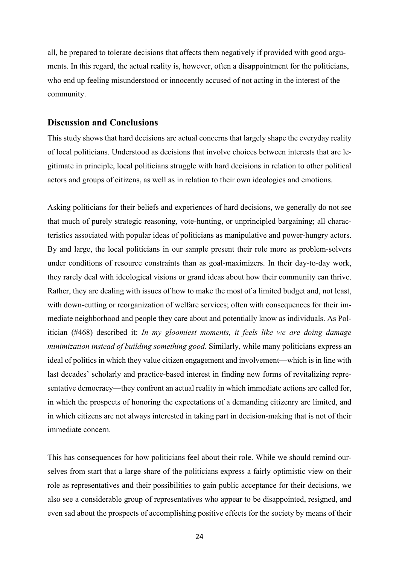all, be prepared to tolerate decisions that affects them negatively if provided with good arguments. In this regard, the actual reality is, however, often a disappointment for the politicians, who end up feeling misunderstood or innocently accused of not acting in the interest of the community.

#### **Discussion and Conclusions**

This study shows that hard decisions are actual concerns that largely shape the everyday reality of local politicians. Understood as decisions that involve choices between interests that are legitimate in principle, local politicians struggle with hard decisions in relation to other political actors and groups of citizens, as well as in relation to their own ideologies and emotions.

Asking politicians for their beliefs and experiences of hard decisions, we generally do not see that much of purely strategic reasoning, vote-hunting, or unprincipled bargaining; all characteristics associated with popular ideas of politicians as manipulative and power-hungry actors. By and large, the local politicians in our sample present their role more as problem-solvers under conditions of resource constraints than as goal-maximizers. In their day-to-day work, they rarely deal with ideological visions or grand ideas about how their community can thrive. Rather, they are dealing with issues of how to make the most of a limited budget and, not least, with down-cutting or reorganization of welfare services; often with consequences for their immediate neighborhood and people they care about and potentially know as individuals. As Politician (#468) described it: *In my gloomiest moments, it feels like we are doing damage minimization instead of building something good.* Similarly, while many politicians express an ideal of politics in which they value citizen engagement and involvement—which is in line with last decades' scholarly and practice-based interest in finding new forms of revitalizing representative democracy—they confront an actual reality in which immediate actions are called for, in which the prospects of honoring the expectations of a demanding citizenry are limited, and in which citizens are not always interested in taking part in decision-making that is not of their immediate concern.

This has consequences for how politicians feel about their role. While we should remind ourselves from start that a large share of the politicians express a fairly optimistic view on their role as representatives and their possibilities to gain public acceptance for their decisions, we also see a considerable group of representatives who appear to be disappointed, resigned, and even sad about the prospects of accomplishing positive effects for the society by means of their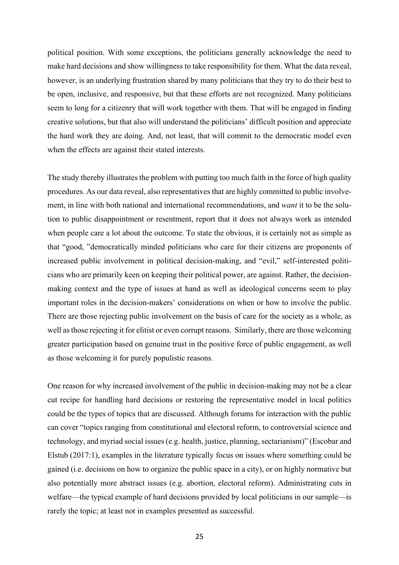political position. With some exceptions, the politicians generally acknowledge the need to make hard decisions and show willingness to take responsibility for them. What the data reveal, however, is an underlying frustration shared by many politicians that they try to do their best to be open, inclusive, and responsive, but that these efforts are not recognized. Many politicians seem to long for a citizenry that will work together with them. That will be engaged in finding creative solutions, but that also will understand the politicians' difficult position and appreciate the hard work they are doing. And, not least, that will commit to the democratic model even when the effects are against their stated interests.

The study thereby illustrates the problem with putting too much faith in the force of high quality procedures. As our data reveal, also representatives that are highly committed to public involvement, in line with both national and international recommendations, and *want* it to be the solution to public disappointment or resentment, report that it does not always work as intended when people care a lot about the outcome. To state the obvious, it is certainly not as simple as that "good, "democratically minded politicians who care for their citizens are proponents of increased public involvement in political decision-making, and "evil," self-interested politicians who are primarily keen on keeping their political power, are against. Rather, the decisionmaking context and the type of issues at hand as well as ideological concerns seem to play important roles in the decision-makers' considerations on when or how to involve the public. There are those rejecting public involvement on the basis of care for the society as a whole, as well as those rejecting it for elitist or even corrupt reasons. Similarly, there are those welcoming greater participation based on genuine trust in the positive force of public engagement, as well as those welcoming it for purely populistic reasons.

One reason for why increased involvement of the public in decision-making may not be a clear cut recipe for handling hard decisions or restoring the representative model in local politics could be the types of topics that are discussed. Although forums for interaction with the public can cover "topics ranging from constitutional and electoral reform, to controversial science and technology, and myriad social issues (e.g. health, justice, planning, sectarianism)" (Escobar and Elstub (2017:1), examples in the literature typically focus on issues where something could be gained (i.e. decisions on how to organize the public space in a city), or on highly normative but also potentially more abstract issues (e.g. abortion, electoral reform). Administrating cuts in welfare—the typical example of hard decisions provided by local politicians in our sample—is rarely the topic; at least not in examples presented as successful.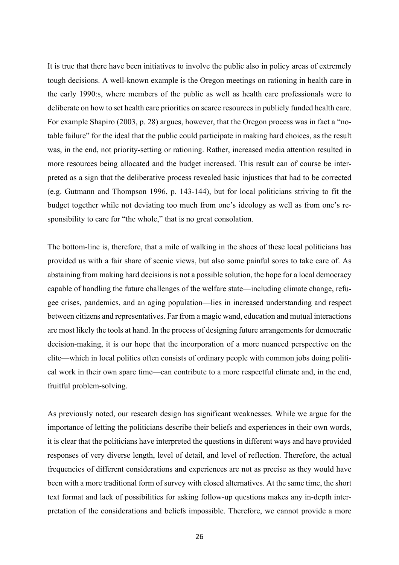It is true that there have been initiatives to involve the public also in policy areas of extremely tough decisions. A well-known example is the Oregon meetings on rationing in health care in the early 1990:s, where members of the public as well as health care professionals were to deliberate on how to set health care priorities on scarce resources in publicly funded health care. For example Shapiro (2003, p. 28) argues, however, that the Oregon process was in fact a "notable failure" for the ideal that the public could participate in making hard choices, as the result was, in the end, not priority-setting or rationing. Rather, increased media attention resulted in more resources being allocated and the budget increased. This result can of course be interpreted as a sign that the deliberative process revealed basic injustices that had to be corrected (e.g. Gutmann and Thompson 1996, p. 143-144), but for local politicians striving to fit the budget together while not deviating too much from one's ideology as well as from one's responsibility to care for "the whole," that is no great consolation.

The bottom-line is, therefore, that a mile of walking in the shoes of these local politicians has provided us with a fair share of scenic views, but also some painful sores to take care of. As abstaining from making hard decisions is not a possible solution, the hope for a local democracy capable of handling the future challenges of the welfare state—including climate change, refugee crises, pandemics, and an aging population—lies in increased understanding and respect between citizens and representatives. Far from a magic wand, education and mutual interactions are most likely the tools at hand. In the process of designing future arrangements for democratic decision-making, it is our hope that the incorporation of a more nuanced perspective on the elite—which in local politics often consists of ordinary people with common jobs doing political work in their own spare time—can contribute to a more respectful climate and, in the end, fruitful problem-solving.

As previously noted, our research design has significant weaknesses. While we argue for the importance of letting the politicians describe their beliefs and experiences in their own words, it is clear that the politicians have interpreted the questions in different ways and have provided responses of very diverse length, level of detail, and level of reflection. Therefore, the actual frequencies of different considerations and experiences are not as precise as they would have been with a more traditional form of survey with closed alternatives. At the same time, the short text format and lack of possibilities for asking follow-up questions makes any in-depth interpretation of the considerations and beliefs impossible. Therefore, we cannot provide a more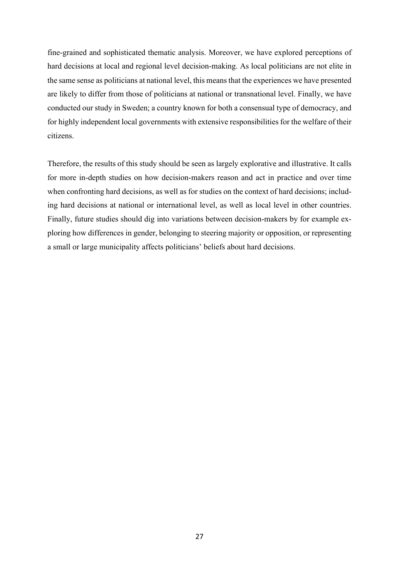fine-grained and sophisticated thematic analysis. Moreover, we have explored perceptions of hard decisions at local and regional level decision-making. As local politicians are not elite in the same sense as politicians at national level, this means that the experiences we have presented are likely to differ from those of politicians at national or transnational level. Finally, we have conducted our study in Sweden; a country known for both a consensual type of democracy, and for highly independent local governments with extensive responsibilities for the welfare of their citizens.

Therefore, the results of this study should be seen as largely explorative and illustrative. It calls for more in-depth studies on how decision-makers reason and act in practice and over time when confronting hard decisions, as well as for studies on the context of hard decisions; including hard decisions at national or international level, as well as local level in other countries. Finally, future studies should dig into variations between decision-makers by for example exploring how differences in gender, belonging to steering majority or opposition, or representing a small or large municipality affects politicians' beliefs about hard decisions.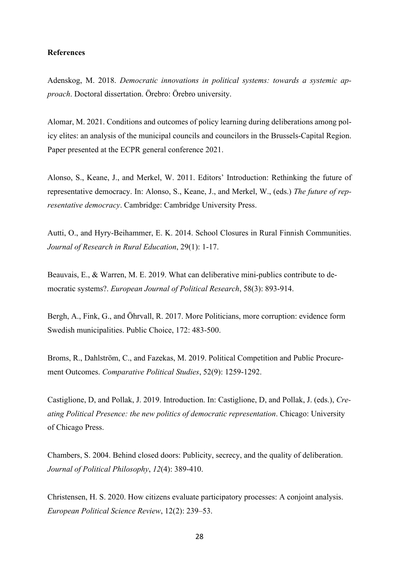#### **References**

Adenskog, M. 2018. *Democratic innovations in political systems: towards a systemic approach*. Doctoral dissertation. Örebro: Örebro university.

Alomar, M. 2021. Conditions and outcomes of policy learning during deliberations among policy elites: an analysis of the municipal councils and councilors in the Brussels-Capital Region. Paper presented at the ECPR general conference 2021.

Alonso, S., Keane, J., and Merkel, W. 2011. Editors' Introduction: Rethinking the future of representative democracy. In: Alonso, S., Keane, J., and Merkel, W., (eds.) *The future of representative democracy*. Cambridge: Cambridge University Press.

Autti, O., and Hyry-Beihammer, E. K. 2014. School Closures in Rural Finnish Communities. *Journal of Research in Rural Education*, 29(1): 1-17.

Beauvais, E., & Warren, M. E. 2019. What can deliberative mini-publics contribute to democratic systems?. *European Journal of Political Research*, 58(3): 893-914.

Bergh, A., Fink, G., and Öhrvall, R. 2017. More Politicians, more corruption: evidence form Swedish municipalities. Public Choice, 172: 483-500.

Broms, R., Dahlström, C., and Fazekas, M. 2019. Political Competition and Public Procurement Outcomes. *Comparative Political Studies*, 52(9): 1259-1292.

Castiglione, D, and Pollak, J. 2019. Introduction. In: Castiglione, D, and Pollak, J. (eds.), *Creating Political Presence: the new politics of democratic representation*. Chicago: University of Chicago Press.

Chambers, S. 2004. Behind closed doors: Publicity, secrecy, and the quality of deliberation. *Journal of Political Philosophy*, *12*(4): 389-410.

Christensen, H. S. 2020. How citizens evaluate participatory processes: A conjoint analysis. *European Political Science Review*, 12(2): 239–53.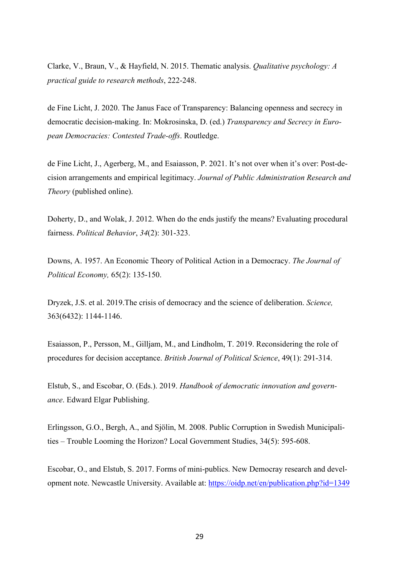Clarke, V., Braun, V., & Hayfield, N. 2015. Thematic analysis. *Qualitative psychology: A practical guide to research methods*, 222-248.

de Fine Licht, J. 2020. The Janus Face of Transparency: Balancing openness and secrecy in democratic decision-making. In: Mokrosinska, D. (ed.) *Transparency and Secrecy in European Democracies: Contested Trade-offs*. Routledge.

de Fine Licht, J., Agerberg, M., and Esaiasson, P. 2021. It's not over when it's over: Post-decision arrangements and empirical legitimacy. *Journal of Public Administration Research and Theory* (published online).

Doherty, D., and Wolak, J. 2012. When do the ends justify the means? Evaluating procedural fairness. *Political Behavior*, *34*(2): 301-323.

Downs, A. 1957. An Economic Theory of Political Action in a Democracy. *The Journal of Political Economy,* 65(2): 135-150.

Dryzek, J.S. et al. 2019.The crisis of democracy and the science of deliberation. *Science,* 363(6432): 1144-1146.

Esaiasson, P., Persson, M., Gilljam, M., and Lindholm, T. 2019. Reconsidering the role of procedures for decision acceptance. *British Journal of Political Science*, 49(1): 291-314.

Elstub, S., and Escobar, O. (Eds.). 2019. *Handbook of democratic innovation and governance*. Edward Elgar Publishing.

Erlingsson, G.O., Bergh, A., and Sjölin, M. 2008. Public Corruption in Swedish Municipalities – Trouble Looming the Horizon? Local Government Studies, 34(5): 595-608.

Escobar, O., and Elstub, S. 2017. Forms of mini-publics. New Democray research and development note. Newcastle University. Available at: https://oidp.net/en/publication.php?id=1349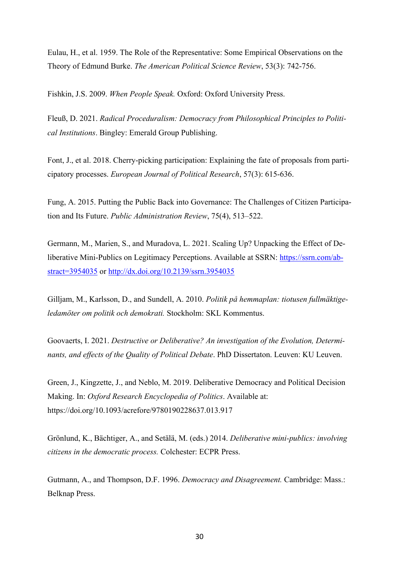Eulau, H., et al. 1959. The Role of the Representative: Some Empirical Observations on the Theory of Edmund Burke. *The American Political Science Review*, 53(3): 742-756.

Fishkin, J.S. 2009. *When People Speak.* Oxford: Oxford University Press.

Fleuß, D. 2021. *Radical Proceduralism: Democracy from Philosophical Principles to Political Institutions*. Bingley: Emerald Group Publishing.

Font, J., et al. 2018. Cherry‐picking participation: Explaining the fate of proposals from participatory processes. *European Journal of Political Research*, 57(3): 615-636.

Fung, A. 2015. Putting the Public Back into Governance: The Challenges of Citizen Participation and Its Future. *Public Administration Review*, 75(4), 513–522.

Germann, M., Marien, S., and Muradova, L. 2021. Scaling Up? Unpacking the Effect of Deliberative Mini-Publics on Legitimacy Perceptions. Available at SSRN: https://ssrn.com/abstract=3954035 or http://dx.doi.org/10.2139/ssrn.3954035

Gilljam, M., Karlsson, D., and Sundell, A. 2010. *Politik på hemmaplan: tiotusen fullmäktigeledamöter om politik och demokrati.* Stockholm: SKL Kommentus.

Goovaerts, I. 2021. *Destructive or Deliberative? An investigation of the Evolution, Determinants, and effects of the Quality of Political Debate*. PhD Dissertaton. Leuven: KU Leuven.

Green, J., Kingzette, J., and Neblo, M. 2019. Deliberative Democracy and Political Decision Making. In: *Oxford Research Encyclopedia of Politics*. Available at: https://doi.org/10.1093/acrefore/9780190228637.013.917

Grönlund, K., Bächtiger, A., and Setälä, M. (eds.) 2014. *Deliberative mini-publics: involving citizens in the democratic process.* Colchester: ECPR Press.

Gutmann, A., and Thompson, D.F. 1996. *Democracy and Disagreement.* Cambridge: Mass.: Belknap Press.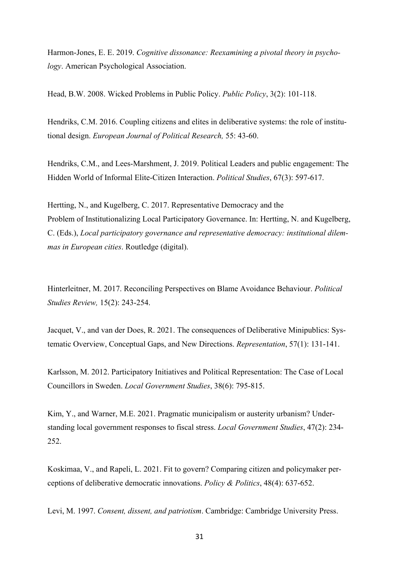Harmon-Jones, E. E. 2019. *Cognitive dissonance: Reexamining a pivotal theory in psychology*. American Psychological Association.

Head, B.W. 2008. Wicked Problems in Public Policy. *Public Policy*, 3(2): 101-118.

Hendriks, C.M. 2016. Coupling citizens and elites in deliberative systems: the role of institutional design. *European Journal of Political Research,* 55: 43-60.

Hendriks, C.M., and Lees-Marshment, J. 2019. Political Leaders and public engagement: The Hidden World of Informal Elite-Citizen Interaction. *Political Studies*, 67(3): 597-617.

Hertting, N., and Kugelberg, C. 2017. Representative Democracy and the Problem of Institutionalizing Local Participatory Governance. In: Hertting, N. and Kugelberg, C. (Eds.), *Local participatory governance and representative democracy: institutional dilemmas in European cities*. Routledge (digital).

Hinterleitner, M. 2017. Reconciling Perspectives on Blame Avoidance Behaviour. *Political Studies Review,* 15(2): 243-254.

Jacquet, V., and van der Does, R. 2021. The consequences of Deliberative Minipublics: Systematic Overview, Conceptual Gaps, and New Directions. *Representation*, 57(1): 131-141.

Karlsson, M. 2012. Participatory Initiatives and Political Representation: The Case of Local Councillors in Sweden. *Local Government Studies*, 38(6): 795-815.

Kim, Y., and Warner, M.E. 2021. Pragmatic municipalism or austerity urbanism? Understanding local government responses to fiscal stress. *Local Government Studies*, 47(2): 234- 252.

Koskimaa, V., and Rapeli, L. 2021. Fit to govern? Comparing citizen and policymaker perceptions of deliberative democratic innovations. *Policy & Politics*, 48(4): 637-652.

Levi, M. 1997. *Consent, dissent, and patriotism*. Cambridge: Cambridge University Press.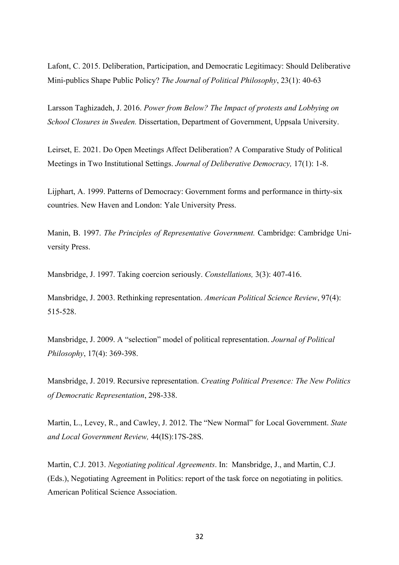Lafont, C. 2015. Deliberation, Participation, and Democratic Legitimacy: Should Deliberative Mini-publics Shape Public Policy? *The Journal of Political Philosophy*, 23(1): 40-63

Larsson Taghizadeh, J. 2016. *Power from Below? The Impact of protests and Lobbying on School Closures in Sweden.* Dissertation, Department of Government, Uppsala University.

Leirset, E. 2021. Do Open Meetings Affect Deliberation? A Comparative Study of Political Meetings in Two Institutional Settings. *Journal of Deliberative Democracy,* 17(1): 1-8.

Lijphart, A. 1999. Patterns of Democracy: Government forms and performance in thirty-six countries. New Haven and London: Yale University Press.

Manin, B. 1997. *The Principles of Representative Government.* Cambridge: Cambridge University Press.

Mansbridge, J. 1997. Taking coercion seriously. *Constellations,* 3(3): 407-416.

Mansbridge, J. 2003. Rethinking representation. *American Political Science Review*, 97(4): 515-528.

Mansbridge, J. 2009. A "selection" model of political representation. *Journal of Political Philosophy*, 17(4): 369-398.

Mansbridge, J. 2019. Recursive representation. *Creating Political Presence: The New Politics of Democratic Representation*, 298-338.

Martin, L., Levey, R., and Cawley, J. 2012. The "New Normal" for Local Government. *State and Local Government Review,* 44(IS):17S-28S.

Martin, C.J. 2013. *Negotiating political Agreements*. In: Mansbridge, J., and Martin, C.J. (Eds.), Negotiating Agreement in Politics: report of the task force on negotiating in politics. American Political Science Association.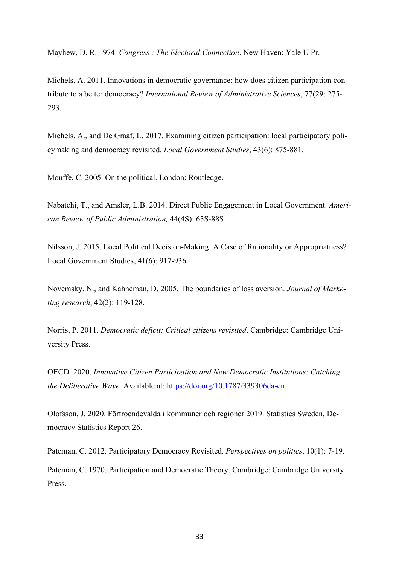Mayhew, D. R. 1974. *Congress : The Electoral Connection*. New Haven: Yale U Pr.

Michels, A. 2011. Innovations in democratic governance: how does citizen participation contribute to a better democracy? *International Review of Administrative Sciences*, 77(29: 275- 293.

Michels, A., and De Graaf, L. 2017. Examining citizen participation: local participatory policymaking and democracy revisited. *Local Government Studies*, 43(6): 875-881.

Mouffe, C. 2005. On the political. London: Routledge.

Nabatchi, T., and Amsler, L.B. 2014. Direct Public Engagement in Local Government. *American Review of Public Administration,* 44(4S): 63S-88S

Nilsson, J. 2015. Local Political Decision-Making: A Case of Rationality or Appropriatness? Local Government Studies, 41(6): 917-936

Novemsky, N., and Kahneman, D. 2005. The boundaries of loss aversion. *Journal of Marketing research*, 42(2): 119-128.

Norris, P. 2011. *Democratic deficit: Critical citizens revisited*. Cambridge: Cambridge University Press.

OECD. 2020. *Innovative Citizen Participation and New Democratic Institutions: Catching the Deliberative Wave.* Available at: https://doi.org/10.1787/339306da-en

Olofsson, J. 2020. Förtroendevalda i kommuner och regioner 2019. Statistics Sweden, Democracy Statistics Report 26.

Pateman, C. 2012. Participatory Democracy Revisited. *Perspectives on politics*, 10(1): 7-19. Pateman, C. 1970. Participation and Democratic Theory. Cambridge: Cambridge University Press.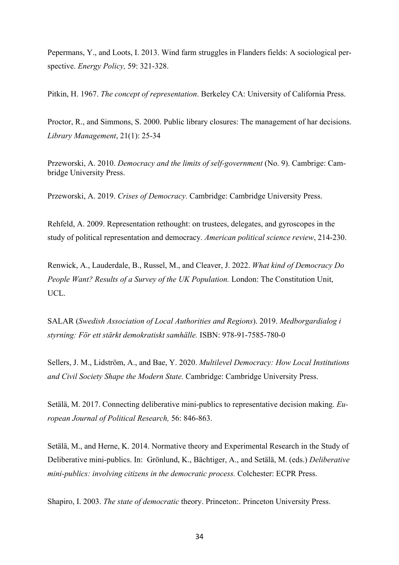Pepermans, Y., and Loots, I. 2013. Wind farm struggles in Flanders fields: A sociological perspective. *Energy Policy,* 59: 321-328.

Pitkin, H. 1967. *The concept of representation*. Berkeley CA: University of California Press.

Proctor, R., and Simmons, S. 2000. Public library closures: The management of har decisions. *Library Management*, 21(1): 25-34

Przeworski, A. 2010. *Democracy and the limits of self-government* (No. 9). Cambrige: Cambridge University Press.

Przeworski, A. 2019. *Crises of Democracy.* Cambridge: Cambridge University Press.

Rehfeld, A. 2009. Representation rethought: on trustees, delegates, and gyroscopes in the study of political representation and democracy. *American political science review*, 214-230.

Renwick, A., Lauderdale, B., Russel, M., and Cleaver, J. 2022. *What kind of Democracy Do People Want? Results of a Survey of the UK Population.* London: The Constitution Unit, UCL.

SALAR (*Swedish Association of Local Authorities and Regions*). 2019. *Medborgardialog i styrning: För ett stärkt demokratiskt samhälle.* ISBN: 978-91-7585-780-0

Sellers, J. M., Lidström, A., and Bae, Y. 2020. *Multilevel Democracy: How Local Institutions and Civil Society Shape the Modern State.* Cambridge: Cambridge University Press.

Setälä, M. 2017. Connecting deliberative mini-publics to representative decision making. *European Journal of Political Research,* 56: 846-863.

Setälä, M., and Herne, K. 2014. Normative theory and Experimental Research in the Study of Deliberative mini-publics. In: Grönlund, K., Bächtiger, A., and Setälä, M. (eds.) *Deliberative mini-publics: involving citizens in the democratic process.* Colchester: ECPR Press.

Shapiro, I. 2003. *The state of democratic* theory. Princeton:. Princeton University Press.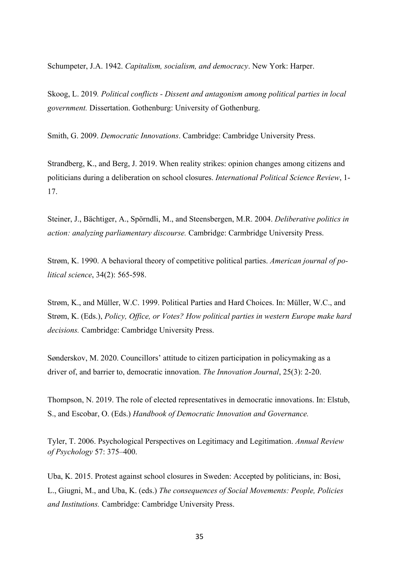Schumpeter, J.A. 1942. *Capitalism, socialism, and democracy*. New York: Harper.

Skoog, L. 2019*. Political conflicts - Dissent and antagonism among political parties in local government.* Dissertation. Gothenburg: University of Gothenburg.

Smith, G. 2009. *Democratic Innovations*. Cambridge: Cambridge University Press.

Strandberg, K., and Berg, J. 2019. When reality strikes: opinion changes among citizens and politicians during a deliberation on school closures. *International Political Science Review*, 1- 17.

Steiner, J., Bächtiger, A., Spörndli, M., and Steensbergen, M.R. 2004. *Deliberative politics in action: analyzing parliamentary discourse.* Cambridge: Carmbridge University Press.

Strøm, K. 1990. A behavioral theory of competitive political parties. *American journal of political science*, 34(2): 565-598.

Strøm, K., and Müller, W.C. 1999. Political Parties and Hard Choices. In: Müller, W.C., and Strøm, K. (Eds.), *Policy, Office, or Votes? How political parties in western Europe make hard decisions.* Cambridge: Cambridge University Press.

Sønderskov, M. 2020. Councillors' attitude to citizen participation in policymaking as a driver of, and barrier to, democratic innovation. *The Innovation Journal*, 25(3): 2-20.

Thompson, N. 2019. The role of elected representatives in democratic innovations. In: Elstub, S., and Escobar, O. (Eds.) *Handbook of Democratic Innovation and Governance.*

Tyler, T. 2006. Psychological Perspectives on Legitimacy and Legitimation. *Annual Review of Psychology* 57: 375–400.

Uba, K. 2015. Protest against school closures in Sweden: Accepted by politicians, in: Bosi, L., Giugni, M., and Uba, K. (eds.) *The consequences of Social Movements: People, Policies and Institutions.* Cambridge: Cambridge University Press.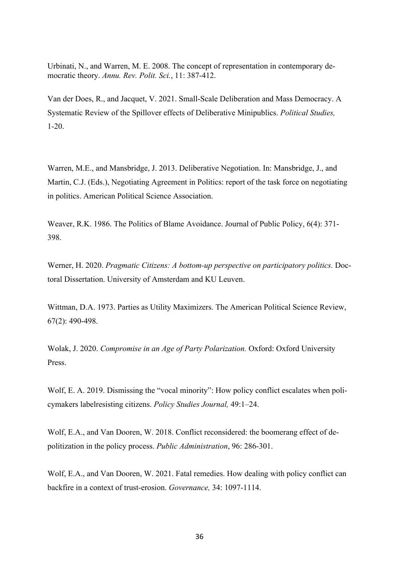Urbinati, N., and Warren, M. E. 2008. The concept of representation in contemporary democratic theory. *Annu. Rev. Polit. Sci.*, 11: 387-412.

Van der Does, R., and Jacquet, V. 2021. Small-Scale Deliberation and Mass Democracy. A Systematic Review of the Spillover effects of Deliberative Minipublics. *Political Studies,* 1-20.

Warren, M.E., and Mansbridge, J. 2013. Deliberative Negotiation. In: Mansbridge, J., and Martin, C.J. (Eds.), Negotiating Agreement in Politics: report of the task force on negotiating in politics. American Political Science Association.

Weaver, R.K. 1986. The Politics of Blame Avoidance. Journal of Public Policy, 6(4): 371- 398.

Werner, H. 2020. *Pragmatic Citizens: A bottom-up perspective on participatory politics.* Doctoral Dissertation. University of Amsterdam and KU Leuven.

Wittman, D.A. 1973. Parties as Utility Maximizers. The American Political Science Review, 67(2): 490-498.

Wolak, J. 2020. *Compromise in an Age of Party Polarization.* Oxford: Oxford University Press.

Wolf, E. A. 2019. Dismissing the "vocal minority": How policy conflict escalates when policymakers labelresisting citizens. *Policy Studies Journal,* 49:1–24.

Wolf, E.A., and Van Dooren, W. 2018. Conflict reconsidered: the boomerang effect of depolitization in the policy process. *Public Administration*, 96: 286-301.

Wolf, E.A., and Van Dooren, W. 2021. Fatal remedies. How dealing with policy conflict can backfire in a context of trust-erosion. *Governance,* 34: 1097-1114.